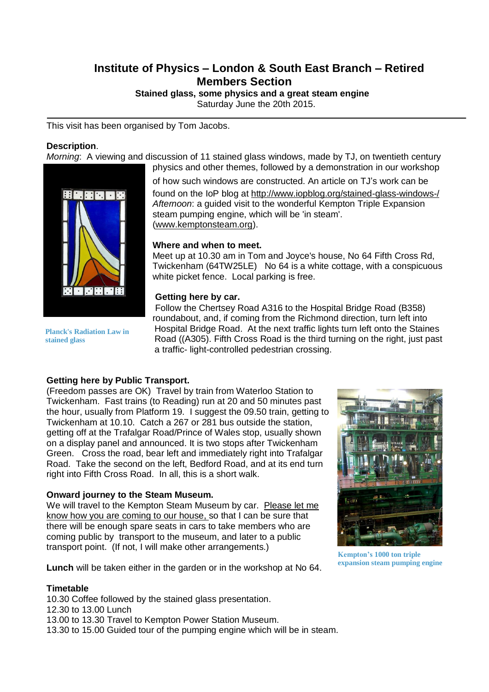# **Institute of Physics – London & South East Branch – Retired Members Section**

**Stained glass, some physics and a great steam engine**

Saturday June the 20th 2015.

This visit has been organised by Tom Jacobs.

#### **Description**.

*Morning*: A viewing and discussion of 11 stained glass windows, made by TJ, on twentieth century physics and other themes, followed by a demonstration in our workshop



**Planck's Radiation Law in**

**stained glass**

of how such windows are constructed. An article on TJ's work can be found on the IoP blog at <http://www.iopblog.org/stained-glass-windows-/> *Afternoon*: a guided visit to the wonderful Kempton Triple Expansion steam pumping engine, which will be 'in steam'. [\(www.kemptonsteam.org\)](http://www.kemptonsteam.org/).

### **Where and when to meet.**

Meet up at 10.30 am in Tom and Joyce's house, No 64 Fifth Cross Rd, Twickenham (64TW25LE) No 64 is a white cottage, with a conspicuous white picket fence. Local parking is free.

### **Getting here by car.**

Follow the Chertsey Road A316 to the Hospital Bridge Road (B358) roundabout, and, if coming from the Richmond direction, turn left into Hospital Bridge Road. At the next traffic lights turn left onto the Staines Road ((A305). Fifth Cross Road is the third turning on the right, just past a traffic- light-controlled pedestrian crossing.

## **Getting here by Public Transport.**

(Freedom passes are OK) Travel by train from Waterloo Station to Twickenham. Fast trains (to Reading) run at 20 and 50 minutes past the hour, usually from Platform 19. I suggest the 09.50 train, getting to Twickenham at 10.10. Catch a 267 or 281 bus outside the station, getting off at the Trafalgar Road/Prince of Wales stop, usually shown on a display panel and announced. It is two stops after Twickenham Green. Cross the road, bear left and immediately right into Trafalgar Road. Take the second on the left, Bedford Road, and at its end turn right into Fifth Cross Road. In all, this is a short walk.

### **Onward journey to the Steam Museum.**

We will travel to the Kempton Steam Museum by car. Please let me know how you are coming to our house, so that I can be sure that there will be enough spare seats in cars to take members who are coming public by transport to the museum, and later to a public transport point. (If not, I will make other arrangements.)

**Lunch** will be taken either in the garden or in the workshop at No 64.

### **Timetable**

10.30 Coffee followed by the stained glass presentation. 12.30 to 13.00 Lunch 13.00 to 13.30 Travel to Kempton Power Station Museum. 13.30 to 15.00 Guided tour of the pumping engine which will be in steam.



**Kempton's 1000 ton triple expansion steam pumping engine**